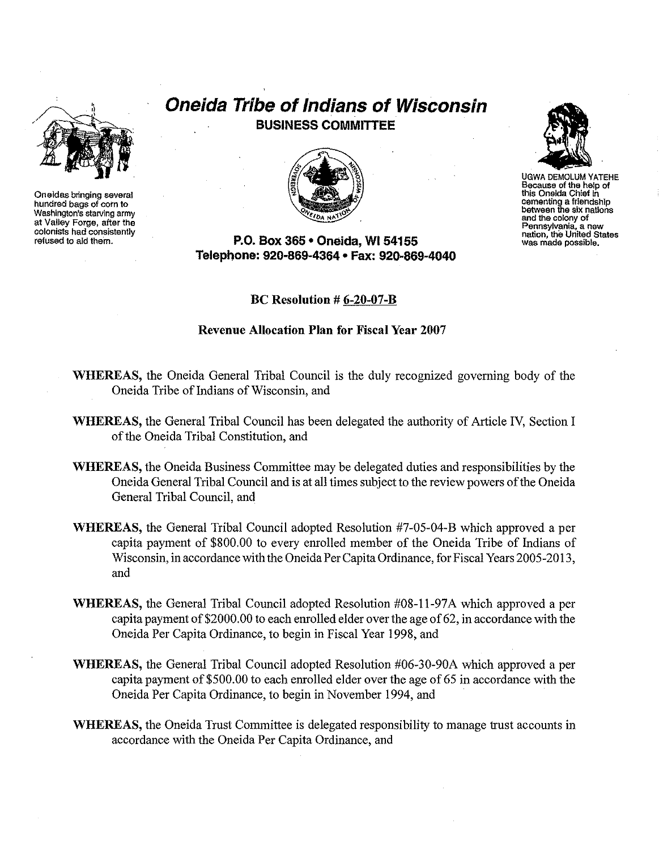

**Oneidas bringing several hundred bagsof cornto Washington's starvIng army at Valley Forge, after the colonists hadconsistently refused to aid them.**

# **Oneida Tribe of Indians of Wisconsin BUSINESS COMMITTEE**



**P.O. Box 365· Oneida,** WI 54155 **Telephone: 920-869-4364 • Fax: 920-869-4040**

# **Be Resolution # 6-20-07-B**

# **Revenue Allocation Plan for Fiscal Year 2007**

- **WHEREAS,** the Oneida General Tribal Council is the duly recognized governing body of the Oneida Tribe of Indians of Wisconsin, and
- **WHEREAS,** the General Tribal Council has been delegated the authority of Article IV, Section I of the Oneida Tribal Constitution, and
- **WHEREAS,** the Oneida Business Committee may be delegated duties and responsibilities by the Oneida General Tribal Council and is at all times subject to the review powers ofthe Oneida General Tribal Council, and
- **WHEREAS,** the General Tribal Council adopted Resolution #7-05-04-B which approved a per capita payment of \$800.00 to every enrolled member of the Oneida Tribe of Indians of Wisconsin, in accordance with the Oneida Per Capita Ordinance, for Fiscal Years 2005-2013, and
- **WHEREAS,** the General Tribal Council adopted Resolution #08-11-97A which approved a per capita payment of \$2000.00 to each enrolled elder over the age of 62, in accordance with the Oneida Per Capita Ordinance, to begin in Fiscal Year 1998, and
- **WHEREAS,** the General Tribal Council adopted Resolution #06-30-90A which approved a per capita payment of \$500.00 to each enrolled elder over the age of 65 in accordance with the Oneida Per Capita Ordinance, to begin in November 1994, and
- **WHEREAS,** the Oneida Trust Committee is delegated responsibility to manage trust accounts in accordance with the Oneida Per Capita Ordinance, and



UGWA DEMOLUM YATEHE<br>Because of the help of **Because of the helpof** this Oneida Chief in **cementing a** friendship<br>between the six nations **andthe colony of Pennsylvania, a new nation. the United States was made possible.**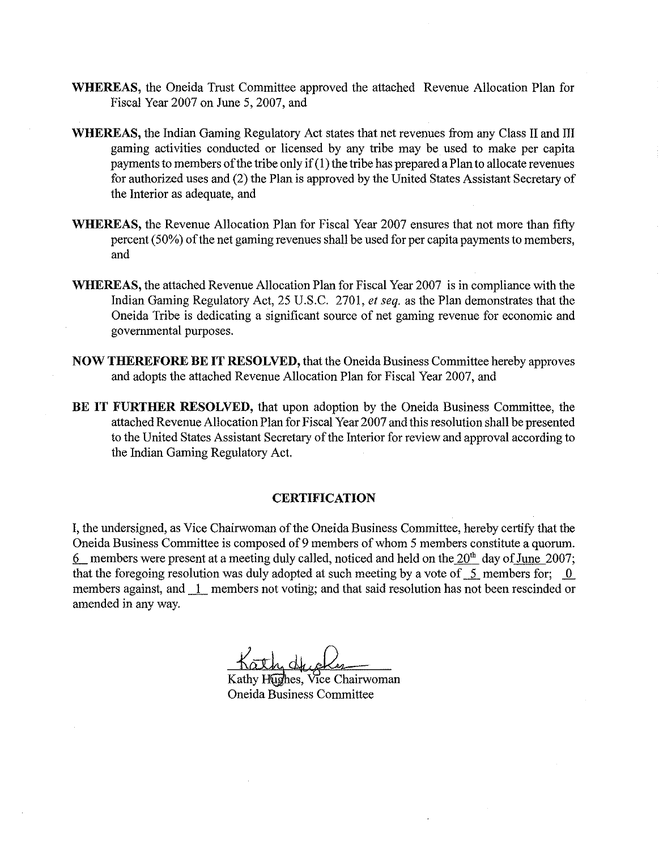- **WHEREAS,** the Oneida Trust Committee approved the attached Revenue Allocation Plan for Fiscal Year 2007 on June 5, 2007, and
- **WHEREAS,** the Indian Gaming Regulatory Act states that net revenues from any Class II and III gaming activities conducted or licensed by any tribe may be used to make per capita payments to members of the tribe only if  $(1)$  the tribe has prepared a Plan to allocate revenues for authorized uses and (2) the Plan is approved by the United States Assistant Secretary of the Interior as adequate, and
- **WHEREAS,** the Revenue Allocation Plan for Fiscal Year 2007 ensures that not more than fifty percent  $(50\%)$  of the net gaming revenues shall be used for per capita payments to members, and
- **WHEREAS,** the attached Revenue Allocation Plan for Fiscal Year 2007 is in compliance with the Indian Gaming Regulatory Act, 25 U.S.C. 2701, *et seq.* as the Plan demonstrates that the Oneida Tribe is dedicating a significant source of net gaming revenue for economic and governmental purposes.
- **NOW THEREFORE BE IT RESOLVED, that the Oneida Business Committee hereby approves** and adopts the attached Revenue Allocation Plan for Fiscal Year 2007, and
- **BE IT FURTHER RESOLVED,** that upon adoption by the Oneida Business Committee, the attached Revenue Allocation Plan for Fiscal Year 2007 and this resolution shall be presented to the United States Assistant Secretary of the Interior for review and approval according to the Indian Gaming Regulatory Act.

# **CERTIFICATION**

I, the undersigned, as Vice Chairwoman of the Oneida Business Committee, hereby certify that the Oneida Business Committee is composed of 9 members ofwhom 5 members constitute a quorum. 6 members were present at a meeting duly called, noticed and held on the  $20<sup>th</sup>$  day of June 2007; that the foregoing resolution was duly adopted at such meeting by a vote of  $\overline{2}$  members for;  $\overline{0}$ members against, and  $1$  members not voting; and that said resolution has not been rescinded or amended in any way.

Kathy Hughes, Vice Chairwoman Oneida Business Committee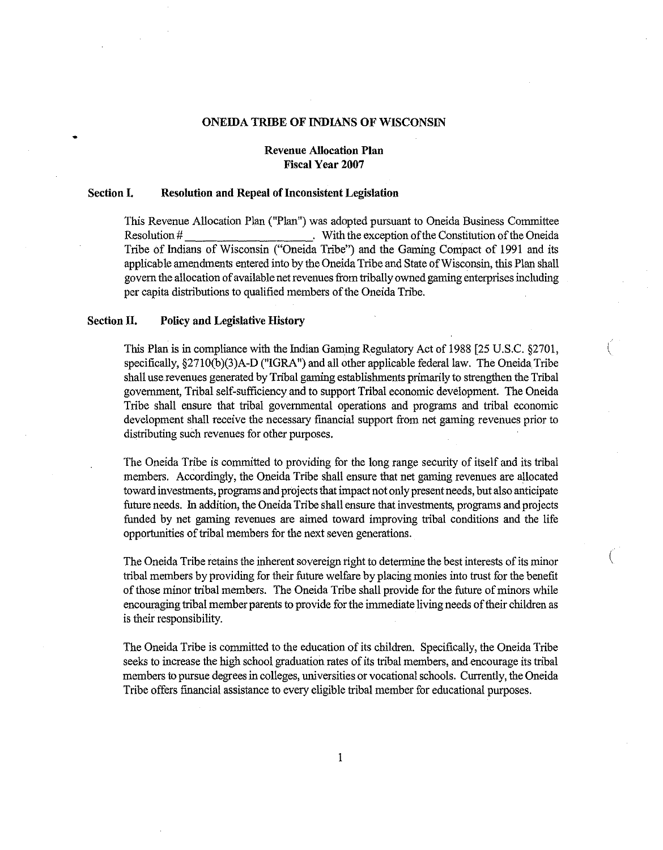# **ONEIDA TRIBE OFINDIANS OF WISCONSIN**

# **Revenue Allocation Plan Fiscal Year** 2007

### **Section I. Resolution and Repeal of Inconsistent Legislation**

This Revenue Allocation Plan ("Plan") was adopted pursuant to Oneida Business Committee Resolution # . With the exception of the Constitution of the Oneida Tribe of Indians of Wisconsin ("Oneida Tribe") and the Gaming Compact of **1991** and its applicable amendments entered into by the Oneida Tribe and State of Wisconsin, this Plan shall govern the allocation of available net revenues from tribally owned gaming enterprises including per capita distributions to qualified members of the Oneida Tribe.

### **Section II. Policy andLegislative History**

•

This Plan is in compliance with the Indian Gaming Regulatory Act of 1988  $[25 \text{ U.S.C. } §2701$ , specifically,  $\S2710(b)(3)A-D$  ("IGRA") and all other applicable federal law. The Oneida Tribe shall use revenues generated by Tribal gaming establishments primarily to strengthen the Tribal government, Tribal self-sufficiency and to support Tribal economic development. The Oneida Tribe shal1 ensure that tribal governmental operations and programs and tribal economic development shall receive the necessary fmancial support from net gaming revenues prior to distributing such revenues for other purposes.

The Oneida Tribe is committed to providing for the longrange security of itself and itstribal members. Accordingly, the Oneida Tribe shall ensure that net gaming revenues are allocated toward investments, programs and projects that impact not only present needs, but also anticipate future needs. In addition, the Oneida Tribe shall ensure that investments, programs and projects funded by net gaming revenues are aimed toward improving tribal conditions and the life opportunities of tribal members for the next seven generations.

The Oneida Tribe retains the inherent sovereign right to determine the best interests of its minor tribal members by providing for their future welfare by placing monies into trust for the benefit of those minor tribal members. The Oneida Tribe shall provide for the future of minors while encouraging tribal member parents to provide for the immediate living needs of their children as is their responsibility.

(

The Oneida Tribe is committed to the education of its children. Specifically, the Oneida Tribe seeks to increase the high school graduation rates of its tribal members, and encourage its tribal members to pursue degrees in colleges, universities or vocational schools. Currently, the Oneida Tribe offers financial assistance to every eligible tribal member for educational purposes.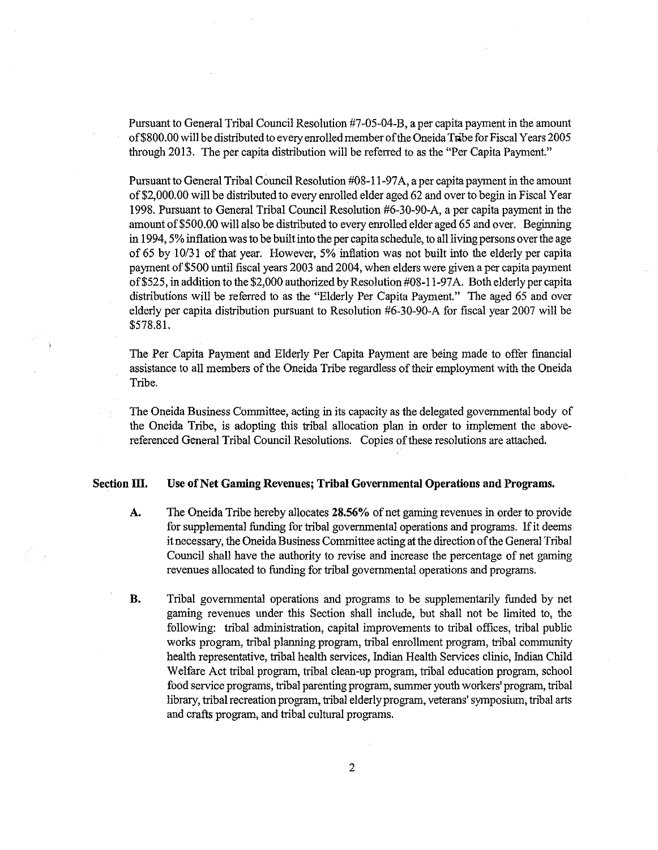Pursuant to General Tribal Council Resolution #7-05-04-B, a per capita payment in the amount of \$800.00 will be distributed to every enrolled member of the Oneida Tribe for Fiscal Years 2005 through 2013. The per capita distribution will be referred to as the "Per Capita Payment."

Pursuant to General Tribal Council Resolution  $#08-11-97A$ , a per capita payment in the amount of \$2,000.00 will be distributed to every enrolled elder aged 62 and over to begin in Fiscal Year 1998. Pursuant to General Tribal Council Resolution #6-30-90-A, a per capita payment in the amount of \$500.00 will also be distributed to every enrolled elder aged 65 and over. Beginning in 1994, 5% inflation was to be built into the per capita schedule, to all living persons over the age of 65 by 10/31 of that year. However, 5% inflation was not built into the elderly per capita payment of \$500 until fiscal years 2003 and 2004, when elders were given a per capita payment of \$525, in addition to the \$2,000 authorized by Resolution #08-11-97A. Both elderly per capita distributions will be referred to as the "Elderly Per Capita Payment." The aged 65 and over elderly per capita distribution pursuant to Resolution #6-30-90-A for fiscal year 2007 will be \$578.81.

The Per Capita Payment and Elderly Per Capita Payment are being made to offer financial assistance to all members of the Oneida Tribe regardless of their employment with the Oneida Tribe.

The Oneida Business Committee, acting in its capacity as the delegated governmental body of the Oneida Tribe, is adopting this tribal allocation plan in order to implement the abovereferenced General Tribal Council Resolutions. Copies of these resolutions are attached.

### **Section III.** Use of Net Gaming Revenues; Tribal Governmental Operations and Programs.

- **A.** The Oneida Tribe hereby allocates 28.56% of net gaming revenues in order to provide for supplemental funding for tribal governmental operations and programs. If it deems it necessary, the Oneida Business Committee acting at the direction of the General Tribal Council shall have the authority to revise and increase the percentage of net gaming revenues allocated to funding for tribal governmental operations and programs.
- **B.** Tribal governmental operations and programs to be supplementarily funded by net gaming revenues under this Section shall include, but shall not be limited to, the following: tribal administration, capital improvements to tribal offices, tribal public works program, tribal planning program, tribal enrollment program, tribal community health representative, tribal health services, Indian Health Services clinic, Indian Child Welfare Act tribal program, tribal clean-up program, tribal education program, school food service programs, tribal parenting program, summer youth workers' program, tribal library, tribal recreation program, tribal elderly program, veterans' symposium, tribal arts and crafts program, and tribal cultural programs.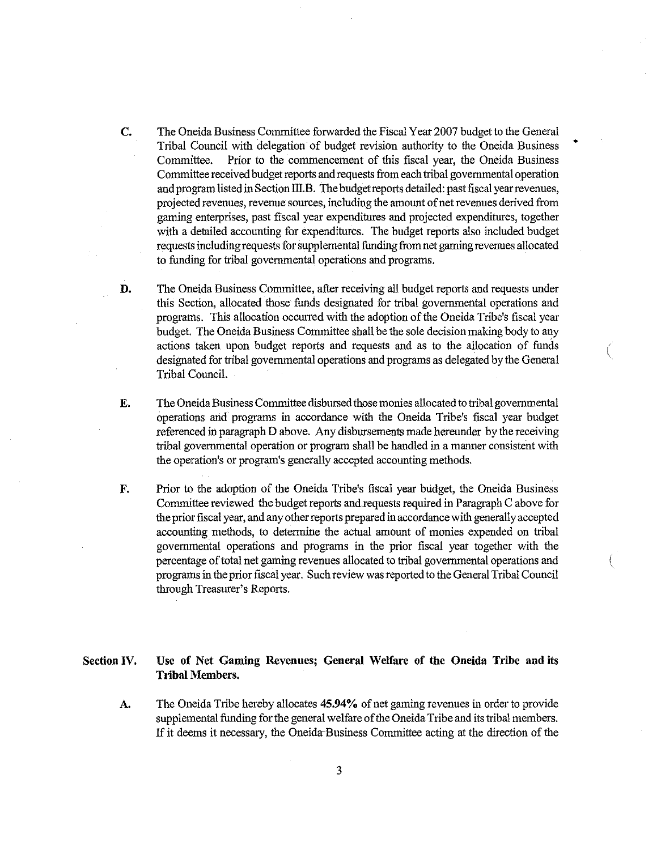**C.** The Oneida Business Committee forwarded the Fiscal Year 2007 budget to the General Tribal Council with delegation of budget revision authority to the Oneida Business Committee. Prior to the commencement of this fiscal year, the Oneida Business Committee received budget reports and requests from each tribal governmental operation and program listed in Section III.B. The budget reports detailed: past fiscal year revenues, projected revenues, revenue sources, including theamount of netrevenues derived from gaming enterprises, past fiscal year expenditures and projected expenditures, together with a detailed accounting for expenditures. The budget reports also included budget requests including requests for supplemental funding from net gaming revenues allocated to funding for tribal governmental operations and programs.

•

(

(

- **D.** The Oneida Business Committee, after receiving all budget reports and requests under this Section, allocated those funds designated for tribal govemmental operations and programs. This allocation occurred with the adoption of the Oneida Tribe's fiscal year budget. The Oneida Business Committee shall be the sole decision making body to any actions taken upon budget reports and requests and as to the allocation of funds designated for tribal governmental operations and programs as delegated by the General Tribal Council.
- **E.** The Oneida Business Committee disbursed those monies allocated to tribal governmental operations and programs in accordance with the Oneida Tribe's fiscal year budget referenced in paragraph D above. Any disbursements made hereunder by the receiving tribal governmental operation or program shall be handled in a manner consistent with the operation's or program's generally accepted accounting methods.
- **F.** Prior to the adoption of the Oneida Tribe's fiscal year budget, the Oneida Business Committee reviewed the budget reports and requests required in Paragraph C above for the prior fiscal year, and any other reports prepared in accordance with generally accepted accounting methods, to determine the actual amount of monies expended on tribal governmental operations and programs in the prior fiscal year together with the percentage of total net gaming revenues allocated to tribal governmental operations and programs in the prior fiscal year. Such review was reported to the General Tribal Council through Treasurer's Reports.

#### **Section IV. Use of Net Gaming Revenues; General Welfare of the Oneida Tribe and its Tribal Members.**

**A.** The Oneida Tribe hereby allocates 45.94% of net gaming revenues in order to provide supplemental funding for the general welfare of the Oneida Tribe and its tribal members. If it deems it necessary, the Oneida-Business Committee acting at the direction of the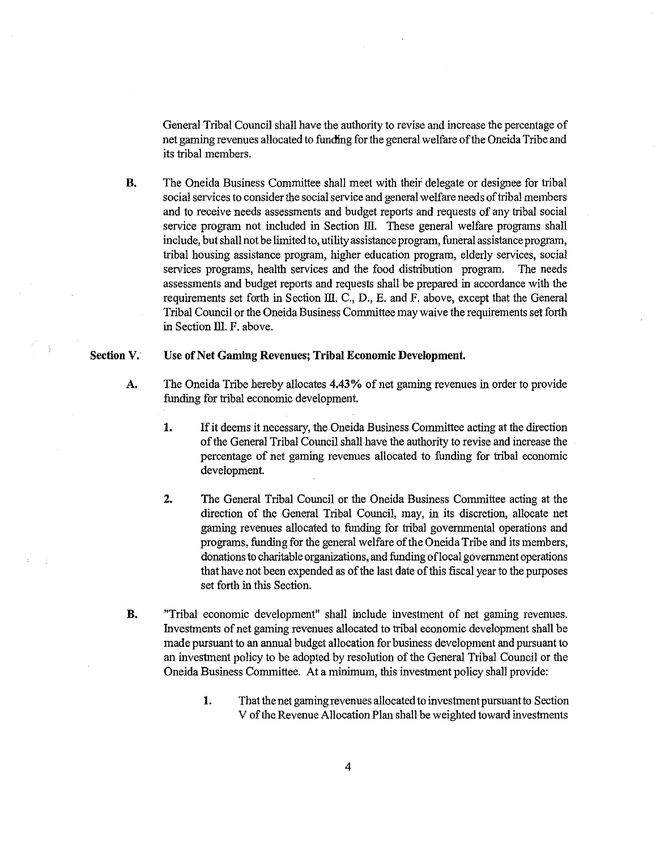General Tribal Council shall have the authority to revise and increase the percentage of net gaming revenues allocated to funding for the general welfare of the Oneida Tribe and its tribal members.

**B.** The Oneida Business Committee shall meet with their delegate or designee for tribal social services to consider the social service and general welfare needs of tribal members and to receive needs assessments and budget reports and requests of any tribal social service program not included in Section III. These general welfare programs shall include, but shall not be limited to, utility assistance program, funeral assistance program, tribal housing assistance program, higher education program, elderly services, social services programs, health services and the food distribution program. The needs assessments and budget reports and requests shall be prepared in accordance with the requirements set forth in Section III. C., D., E. and F. above, except that the General Tribal Council or the Oneida Business Committee may waive the requirements set forth in Section III. F. above.

#### **Section V.** Use of Net Gaming Revenues; Tribal Economic Development.

- **A.** The Oneida Tribe hereby allocates 4.43% of net gaming revenues in order to provide funding for tribal economic development.
	- **1.** If it deems it necessary, the Oneida Business Committee acting at the direction of the General Tribal Council shall have the authority to revise and increase the percentage of net gaming revenues allocated to funding for tribal economic development.
	- **2.** The General Tribal Council or the Oneida Business Committee acting at the direction of the General Tribal Council, may, in its discretion, allocate net gaming revenues allocated to funding for tribal governmental operations and programs, funding for the general welfare of the Oneida Tribe and its members, donations to charitable organizations, and funding of local government operations that have not been expended as of the last date of this fiscal year to the purposes set forth in this Section.
- **B.** "Tribal economic development" shall include investment of net gaming revenues. Investments of net gaming revenues allocated to tribal economic development shallbe made pursuant to an annual budget allocation for business development and pursuant to an investment policy to be adopted by resolution of the General Tribal Council or the Oneida Business Committee. At a minimum, this investment policy shall provide:
	- 1. That the net gaming revenues allocated to investment pursuant to Section V of the Revenue Allocation Plan shall be weighted toward investments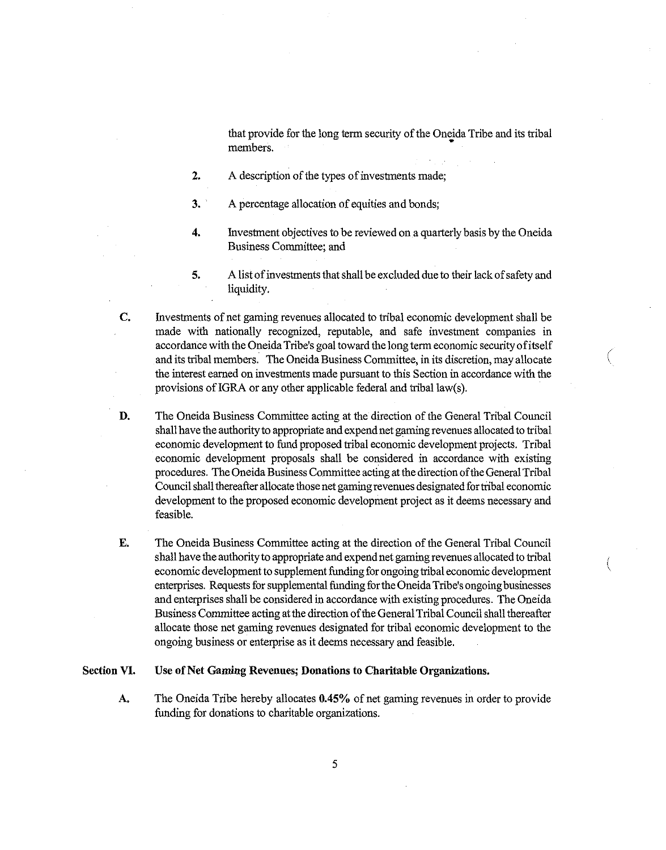that provide for the long term security of the Oneida Tribe and its tribal members.

- **2.** A description of the types of investments made;
- **3.** A percentage allocation of equities and bonds;
- **4.** Investment objectives to be reviewed on a quarterly basis by the Oneida Business Committee; and
- **5.** A list of investments that shall be excluded due to their lack of safety and liquidity.

(

(

**C.** Investments of net gaming revenues allocated to tribal economic development shall be made with nationally recognized, reputable, and safe investment companies in accordance with the Oneida Tribe's goal toward the long term economic security of itself and its tribal members. The Oneida Business Committee, in its discretion, may allocate the interest earned on investments made pursuant to this Section in accordance with the provisions of IGRA or any other applicable federal and tribal law(s).

- **D.** The Oneida Business Committee acting at the direction of the General Tribal Council shall have the authority to appropriate and expend net gaming revenues allocated to tribal economic development to fund proposed tribal economic development projects. Tribal economic development proposals shall be considered in accordance with existing procedures. The Oneida Business Committee acting at the direction of the General Tribal Councilshall thereafter allocate thosenetgamingrevenues designated fortribal economic development to the proposed economic development project as it deems necessary and feasible.
- **E.** The Oneida Business Committee acting at the direction of the General Tribal Council shall have the authority to appropriate and expend net gaming revenues allocated to tribal economic development to supplement funding for ongoing tribal economic development enterprises. Requests for supplemental funding for the Oneida Tribe's ongoing businesses and enterprises shall be considered in accordance with existing procedures. The Oneida Business Committee acting at the direction of the General Tribal Council shall thereafter allocate those net gaming revenues designated for tribal economic development to the ongoing business or enterprise as it deems necessary and feasible.

### **SectionVI. Use** of Net **Gaming Revenues; Donationsto CharitableOrganizations.**

A. The Oneida Tribe hereby allocates **0.45%** of net gaming revenues in order to provide funding for donations to charitable organizations.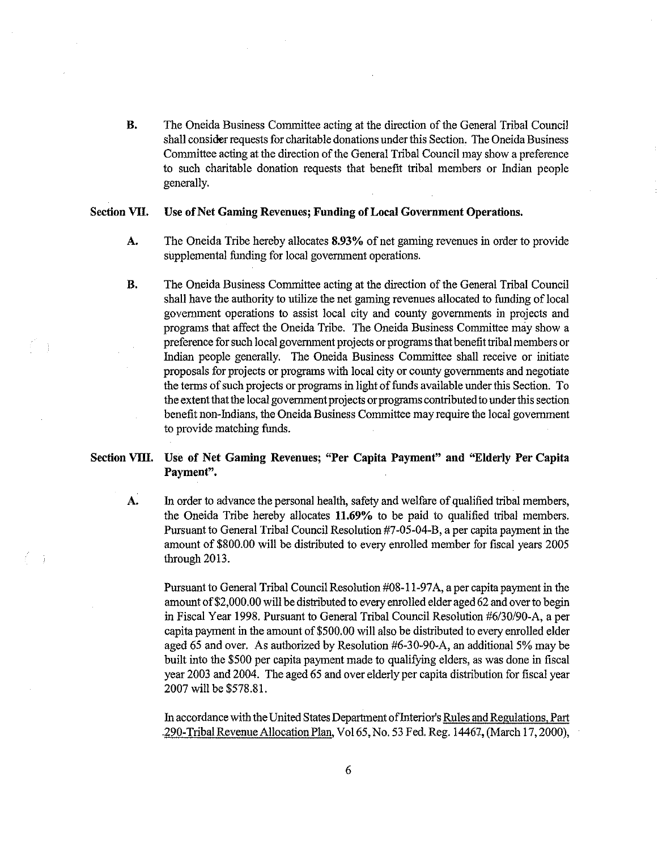B. The Oneida Business Committee acting at the direction of the General Tribal Council shall consider requests for charitable donations under this Section. The Oneida Business Committee acting at the direction of the General Tribal Council may show a preference to such charitable donation requests that benefit tribal members or Indian people generally.

### Section VII. Use of Net Gaming Revenues; Funding of Local Government Operations.

- A. The Oneida Tribe hereby allocates 8.93% of net gaming revenues in order to provide supplemental funding for local government operations.
- B. The Oneida Business Committee acting at the direction of the General Tribal Council shall have the authority to utilize the net gaming revenues allocated to funding of local government operations to assist local city and county governments in projects and programs that affect the Oneida Tribe. The Oneida Business Committee may show a preference for such local government projects or programs that benefit tribal members or Indian people generally. The Oneida Business Committee shall receive or initiate proposals for projects or programs with local city or county governments and negotiate the terms of such projects or programs in light of funds available under this Section. To the extent that the local government projects or programs contributed to under this section benefit non-Indians, the Oneida Business Committee may require the local government to provide matching funds.

# SectionVIII. Use of Net Gaming Revennes; "Per Capita Payment" and "Elderly Per Capita Payment".

A. In order to advance the personal health, safety and welfare of qualified tribal members, the Oneida Tribe hereby allocates 11.69% to be paid to qualified tribal members. Pursuant to General Tribal Council Resolution #7-05-04-B, a per capita payment in the amount of \$800.00 will be distributed to every enrolled member for fiscal years 2005 through 2013.

Pursuant to General Tribal Council Resolution #08-11-97A, a per capita payment in the amount of \$2,000.00 will be distributed to every enrolled elder aged 62 and over to begin in Fiscal Year 1998. Pursuant to General Tribal Council Resolution #6/30/90-A, a per capita payment in the amount of \$500.00 will also be distributed to every enrolled elder aged 65 and over. As authorized by Resolution #6-30-90-A, an additional 5% may be built into the \$500 per capita payment made to qualifying elders, as was done in fiscal year 2003 and 2004. The aged 65 and over elderly per capita distribution for fiscal year 2007 will be \$578.81.

In accordance with the United States Department of Interior's Rules and Regulations, Part 290-TribalRevenue Allocation Plan, Vol65,No.53Fed.Reg. 14467, (March 17,2000),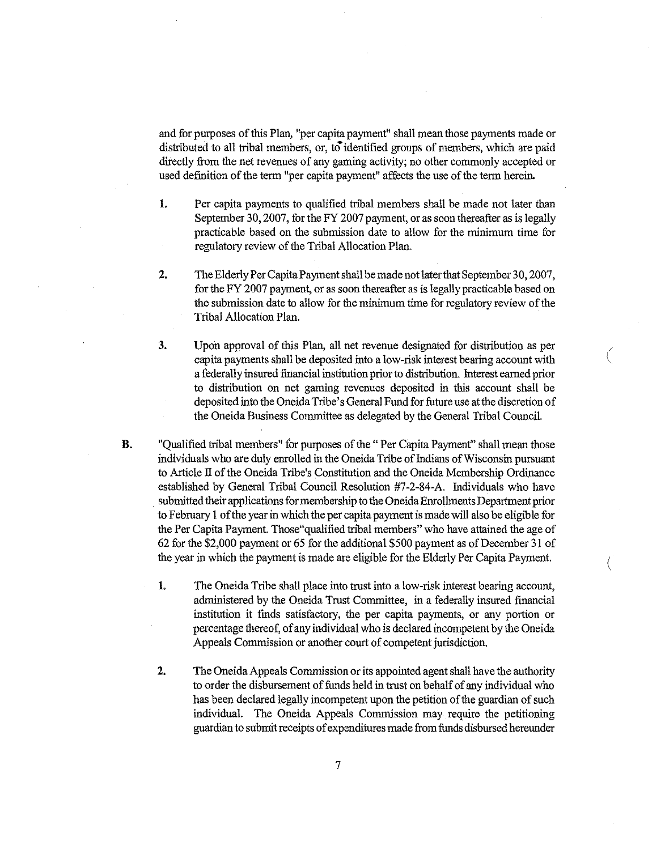and for purposes of this Plan, "per capita payment" shall mean those payments made or distributed to all tribal members, or, to identified groups of members, which are paid directly from the net revenues of any gaming activity; no other commonly accepted or used definition of the term "per capita payment" affects the use of the term herein.

- 1. Per capita payments to qualified tribal members shall be made not later than September 30, 2007, for the FY 2007 payment, or as soon thereafter as is legally practicable based on the submission date to allow for the minimum time for regulatory review of the Tribal Allocation Plan.
- 2. The Elderly Per Capita Payment shall be made not later that September 30, 2007, for the FY 2007 payment, or as soon thereafter as is legally practicable based on the submission date to allow for the minimum time for regulatory review of the TribalAllocation Plan.
- 3. Upon approval of this Plan, all net revenue designated for distribution as per capita payments shall be deposited into a low-risk interest bearing account with a federally insured financial institution prior to distribution. Interest earned prior to distribution on net gaming revenues deposited in this account shall be deposited into the Oneida Tribe's General Fund for future use at the discretion of the Oneida Business Committee as delegated by the General Tribal Council.

 $\big($ 

(

- **B.** "Qualified tribal members" for purposes of the "Per Capita Payment" shall mean those individuals who are duly enrolled in the Oneida Tribe of Indians of Wisconsin pursuant to Article II of the Oneida Tribe's Constitution and the Oneida Membership Ordinance established by General Tribal Council Resolution #7-2-84-A. Individuals who have submitted their applications for membership to the Oneida Enrollments Department prior to February 1 of the year in which the per capita payment is made will also be eligible for the Per Capita Payment. Those "qualified tribal members" who have attained the age of 62 for the \$2,000 payment or 65 for the additional \$500 payment as of December 31 of the year in which the payment is made are eligible for the Elderly Per Capita Payment.
	- 1. The Oneida Tribe shall place into trust into a low-risk interest bearing account, administered by the Oneida Trust Committee, in a federally insured financial institution it finds satisfactory, the per capita payments, or any portion or percentage thereof, of any individual who is declared incompetent by the Oneida Appeals Commission or another court of competent jurisdiction.
	- **2.** The Oneida Appeals Commission or its appointed agent shall have the authority to order the disbursement of funds held in trust on behalf of any individual who has been declared legally incompetent upon the petition of the guardian of such individual. The Oneida Appeals Commission may require the petitioning guardian to submit receipts of expenditures made from funds disbursed hereunder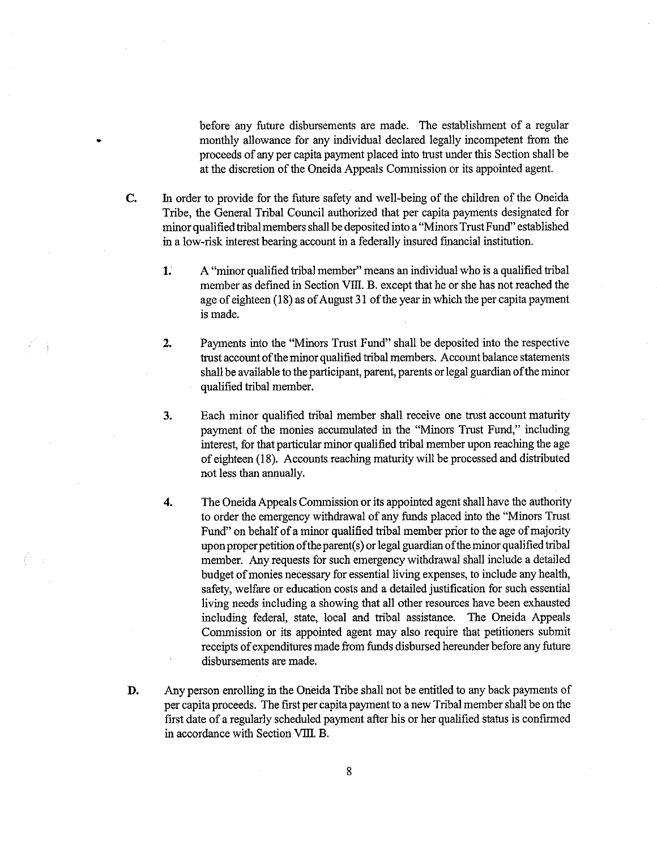before any future disbursements are made. The establishment of a regular monthly allowance for any individual declared legally incompetent from the proceeds of any per capita payment placed into trust under this Section shall be at the discretion of the Oneida Appeals Commission or its appointed agent.

**c.** In order to provide for the future safety and well-being of the children of the Oneida Tribe, the General Tribal Council authorized that per capita payments designated for minor qualified tribal members shall be deposited into a "Minors Trust Fund" established in a low-risk interest bearing account in a federally insured financial institution.

•

- 1. A "minor qualified tribal member" means an individual who is a qualified tribal member as defined in Section VIII. B. except that he or she has not reached the age of eighteen  $(18)$  as of August 31 of the year in which the per capita payment is made.
- **2.** Payments into the "Minors Trust Fund" shall be deposited into the respective trust account of the minor qualified tribal members. Account balance statements shall be available to the participant, parent, parents or legal guardian of the minor qualified tribal member.
- **3.** Each minor qualified tribal member shall receive one trust account maturity payment of the monies accumulated in the "Minors Trust Fund," including interest, for that particular minor qualified tribal member upon reaching the age of eighteen (18). Accounts reaching maturity will be processed and distributed not less than annually.
- **4.** The Oneida Appeals Commission or its appointed agent shall have the authority to order the emergency withdrawal of any funds placedinto the "Minors Trust Fund" on behalf of a minor qualified tribal member prior to the age of majority upon proper petition of the parent(s) or legal guardian of the minor qualified tribal member. Any requests for such emergency withdrawal shall include a detailed budget of monies necessary for essential living expenses, to include any health, safety, welfare or education costs and a detailed justification for such essential living needs including a showing that all other resources have been exhausted including federal, state, local and tribal assistance. The Oneida Appeals Commission or its appointed agent may also require that petitioners submit receipts of expenditures made from funds disbursed hereunder before any future disbursements are made.
- **D.** Any person enrolling in the Oneida Tribe shall not be entitled to any back payments of per capita proceeds. The first per capita payment to a new Tribal member shall be on the first date of a regularly scheduled payment after his or her qualified status is confirmed in accordance with Section VIII. B.

8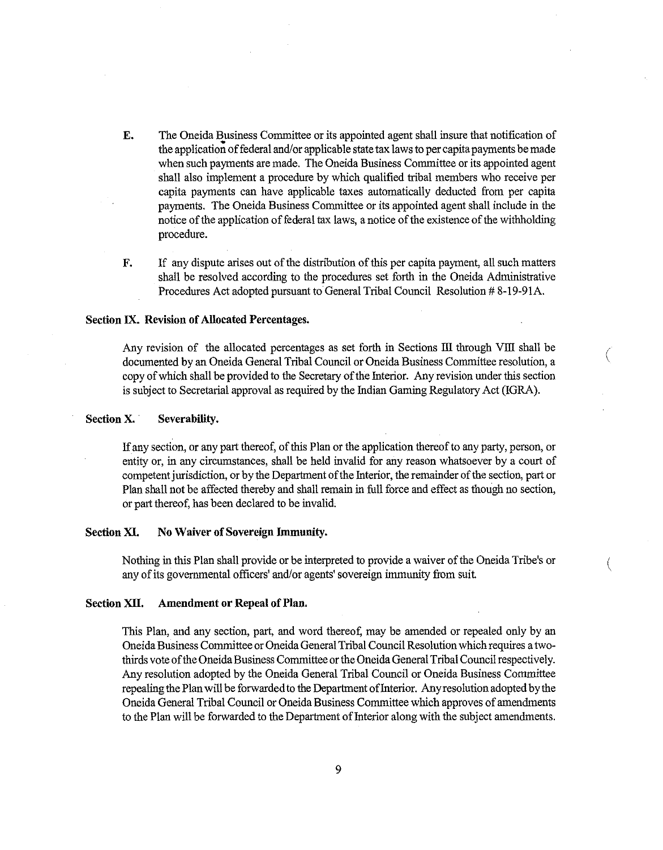- E. The Oneida Business Committee or its appointed agent shall insure that notification of the application of federal and/or applicable state tax laws to per capita payments be made when such payments are made. The Oneida Business Committee or its appointed agent shall also implement a procedure by which qualified tribal members who receive per capita payments can have applicable taxes automatical1y deducted from per capita payments. The Oneida Business Committee or its appointed agent shall include in the notice of the application of federal tax laws, a notice of the existence of the withholding procedure.
- F. If any dispute arises out of the distribution of this per capita payment, all such matters shall be resolved according to the procedures set forth in the Oneida Administrative Procedures Act adopted pursuant to General Tribal Council Resolution # 8-19-91A.

### Section IX. Revision of Allocated Percentages.

Any revision of the allocated percentages as set forth in Sections III through VIII shall be documented by an Oneida General Tribal Council or Oneida Business Committee resolution, a copy of which shall be provided to the Secretary of the Interior. Any revision under this section is subject to Secretarial approval as required by the Indian Gaming Regulatory Act (IGRA).

(

### Section X. Severability.

If any section, or any part thereof, of this Plan or the application thereof to any party, person, or entityor, in any circumstances, shal1 be held invalid for any reasonwhatsoever by a court of competent jurisdiction, or by the Department of the Interior, the remainder of the section, part or Plan shall not be affected thereby and shall remain in full force and effect as though no section, or part thereof, has been declared to be invalid.

### Section XI. No Waiver of Sovereign Immunity.

Nothing in this Plan shall provide or be interpreted to provide a waiver of the Oneida Tribe's or any of its governmental officers' and/or agents' sovereign immunity from suit.

### Section XII. Amendment or Repeal of Plan.

This Plan, and any section, part, and word thereof, may be amended or repealed only by an Oneida Business Committee or Oneida General Tribal Council Resolution which requires a twothirds vote of the Oneida Business Committee or the Oneida General Tribal Council respectively. Any resolution adopted by the Oneida General Tribal Council or Oneida Business Committee repealing the Plan will be forwarded to the Department of Interior. Any resolution adopted by the Oneida General Tribal Council or Oneida Business Committee which approves of amendments to the Plan will be forwarded to the Department of Interior along with the subject amendments.